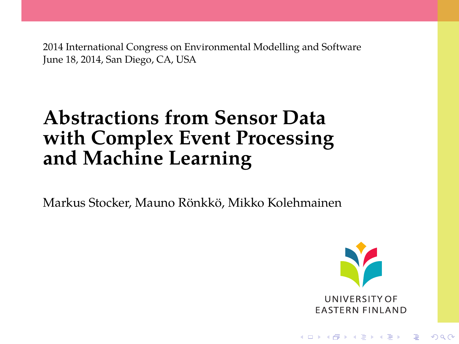2014 International Congress on Environmental Modelling and Software June 18, 2014, San Diego, CA, USA

#### **Abstractions from Sensor Data with Complex Event Processing and Machine Learning**

Markus Stocker, Mauno Rönkkö, Mikko Kolehmainen



**KORK STRAIN A STRAIN A STRAIN**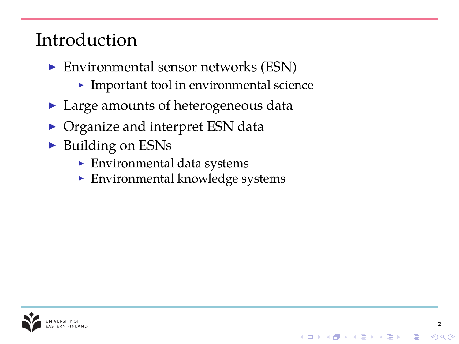#### Introduction

- $\blacktriangleright$  Environmental sensor networks (ESN)
	- $\blacktriangleright$  Important tool in environmental science
- $\blacktriangleright$  Large amounts of heterogeneous data
- $\triangleright$  Organize and interpret ESN data
- $\triangleright$  Building on ESNs
	- $\blacktriangleright$  Environmental data systems
	- $\blacktriangleright$  Environmental knowledge systems

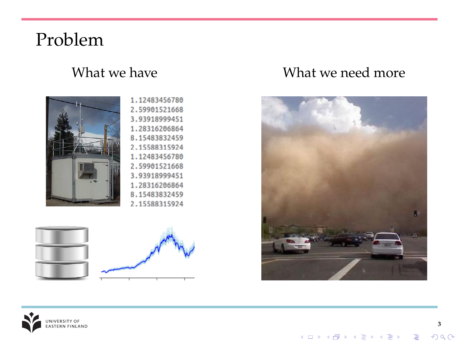#### Problem



#### 1.12483456780 2.59901521668 3.93918999451 1.28316206864 8.15483832459 2.15588315924 1.12483456780 2.59901521668 3.93918999451 1.28316206864 8.15483832459 2.15588315924



#### What we have **What we need more**





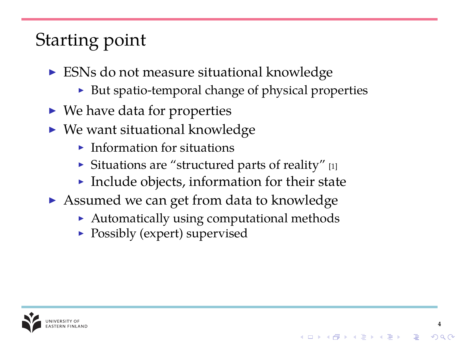# Starting point

- $\triangleright$  ESNs do not measure situational knowledge
	- $\triangleright$  But spatio-temporal change of physical properties
- $\blacktriangleright$  We have data for properties
- $\triangleright$  We want situational knowledge
	- $\blacktriangleright$  Information for situations
	- $\triangleright$  Situations are "structured parts of reality" [\[1\]](#page-9-0)
	- Include objects, information for their state
- $\triangleright$  Assumed we can get from data to knowledge
	- $\blacktriangleright$  Automatically using computational methods

**4**

 $\mathbf{E} = \mathbf{A} \oplus \mathbf{A} + \mathbf{A} \oplus \mathbf{A} + \mathbf{A} \oplus \mathbf{A} + \mathbf{A} \oplus \mathbf{A}$ 

 $\triangleright$  Possibly (expert) supervised

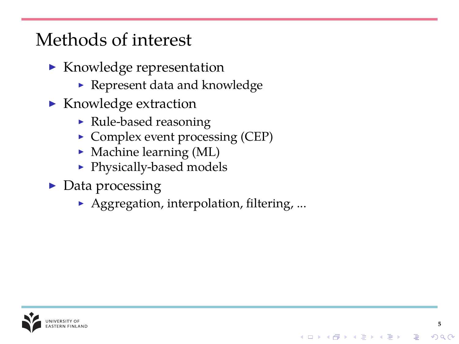#### Methods of interest

- $\blacktriangleright$  Knowledge representation
	- $\blacktriangleright$  Represent data and knowledge
- $\blacktriangleright$  Knowledge extraction
	- $\blacktriangleright$  Rule-based reasoning
	- $\triangleright$  Complex event processing (CEP)
	- $\blacktriangleright$  Machine learning (ML)
	- Physically-based models
- $\triangleright$  Data processing
	- $\blacktriangleright$  Aggregation, interpolation, filtering, ...

**5**

B

 $2990$ 

イロト イ押 トイヨ トイヨ トー

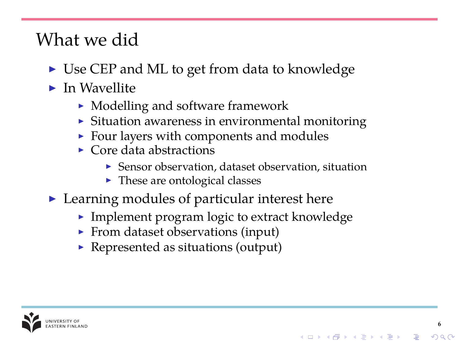#### What we did

- $\triangleright$  Use CEP and ML to get from data to knowledge
- $\blacktriangleright$  In Wavellite
	- $\blacktriangleright$  Modelling and software framework
	- $\triangleright$  Situation awareness in environmental monitoring
	- $\blacktriangleright$  Four layers with components and modules
	- $\triangleright$  Core data abstractions
		- $\triangleright$  Sensor observation, dataset observation, situation

**6**

 $QQ$ 

イロメイ団メイ君メイ君メー君

- $\blacktriangleright$  These are ontological classes
- $\blacktriangleright$  Learning modules of particular interest here
	- $\blacktriangleright$  Implement program logic to extract knowledge
	- $\blacktriangleright$  From dataset observations (input)
	- $\blacktriangleright$  Represented as situations (output)

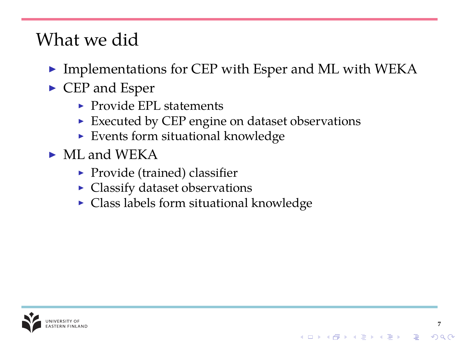#### What we did

 $\triangleright$  Implementations for CEP with Esper and ML with WEKA

**7**

 $2990$ 

イロト 不優 トイヨト イヨト 一重

- $\blacktriangleright$  CEP and Esper
	- $\blacktriangleright$  Provide EPL statements
	- $\blacktriangleright$  Executed by CEP engine on dataset observations
	- $\blacktriangleright$  Events form situational knowledge
- $\blacktriangleright$  ML and WEKA
	- $\blacktriangleright$  Provide (trained) classifier
	- Classify dataset observations
	- $\triangleright$  Class labels form situational knowledge

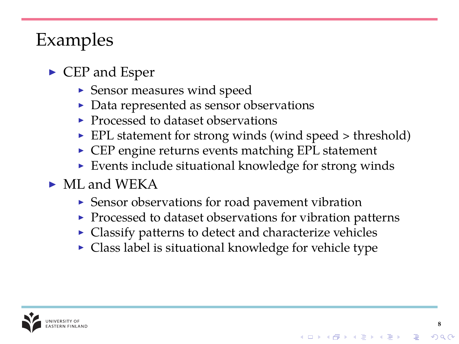## Examples

- $\triangleright$  CEP and Esper
	- $\blacktriangleright$  Sensor measures wind speed
	- $\triangleright$  Data represented as sensor observations
	- $\blacktriangleright$  Processed to dataset observations
	- $\blacktriangleright$  EPL statement for strong winds (wind speed  $>$  threshold)
	- $\triangleright$  CEP engine returns events matching EPL statement
	- $\blacktriangleright$  Events include situational knowledge for strong winds
- $\blacktriangleright$  ML and WEKA
	- $\triangleright$  Sensor observations for road pavement vibration
	- $\blacktriangleright$  Processed to dataset observations for vibration patterns

**8**

 $2990$ 

イロトメ 御きメ 電子 メ 著 メー 著

- $\triangleright$  Classify patterns to detect and characterize vehicles
- $\blacktriangleright$  Class label is situational knowledge for vehicle type

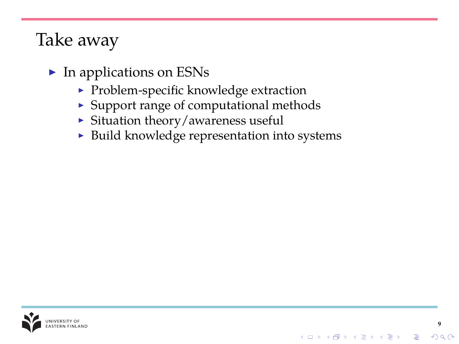#### Take away

- $\blacktriangleright$  In applications on ESNs
	- $\blacktriangleright$  Problem-specific knowledge extraction
	- $\triangleright$  Support range of computational methods
	- $\triangleright$  Situation theory/awareness useful
	- $\triangleright$  Build knowledge representation into systems

**9**

 $2990$ 

イロトス個人ス語 トス語 トー語